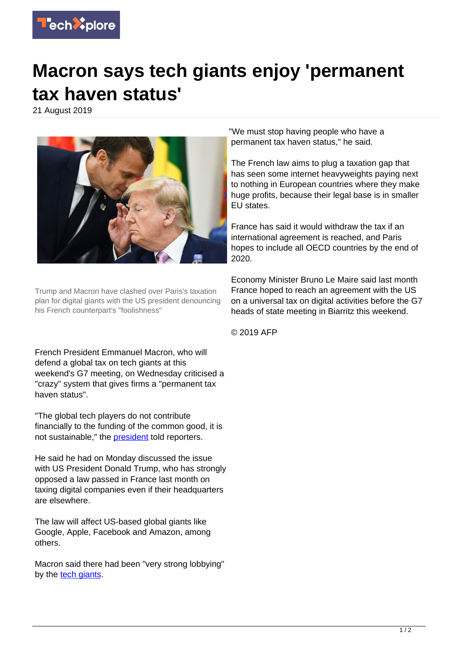

## **Macron says tech giants enjoy 'permanent tax haven status'**

21 August 2019



Trump and Macron have clashed over Paris's taxation plan for digital giants with the US president denouncing his French counterpart's "foolishness"

French President Emmanuel Macron, who will defend a global tax on tech giants at this weekend's G7 meeting, on Wednesday criticised a "crazy" system that gives firms a "permanent tax haven status".

"The global tech players do not contribute financially to the funding of the common good, it is not sustainable," the **president** told reporters.

He said he had on Monday discussed the issue with US President Donald Trump, who has strongly opposed a law passed in France last month on taxing digital companies even if their headquarters are elsewhere.

The law will affect US-based global giants like Google, Apple, Facebook and Amazon, among others.

Macron said there had been "very strong lobbying" by the [tech giants.](https://techxplore.com/tags/tech+giants/)

"We must stop having people who have a permanent tax haven status," he said.

The French law aims to plug a taxation gap that has seen some internet heavyweights paying next to nothing in European countries where they make huge profits, because their legal base is in smaller EU states.

France has said it would withdraw the tax if an international agreement is reached, and Paris hopes to include all OECD countries by the end of 2020.

Economy Minister Bruno Le Maire said last month France hoped to reach an agreement with the US on a universal tax on digital activities before the G7 heads of state meeting in Biarritz this weekend.

© 2019 AFP